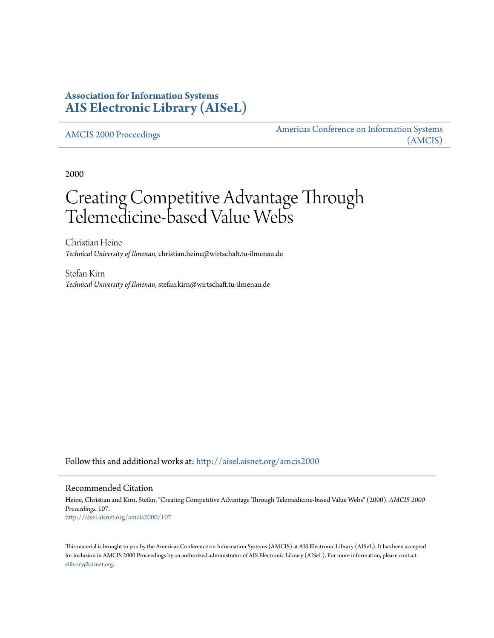# **Association for Information Systems [AIS Electronic Library \(AISeL\)](http://aisel.aisnet.org?utm_source=aisel.aisnet.org%2Famcis2000%2F107&utm_medium=PDF&utm_campaign=PDFCoverPages)**

[AMCIS 2000 Proceedings](http://aisel.aisnet.org/amcis2000?utm_source=aisel.aisnet.org%2Famcis2000%2F107&utm_medium=PDF&utm_campaign=PDFCoverPages)

[Americas Conference on Information Systems](http://aisel.aisnet.org/amcis?utm_source=aisel.aisnet.org%2Famcis2000%2F107&utm_medium=PDF&utm_campaign=PDFCoverPages) [\(AMCIS\)](http://aisel.aisnet.org/amcis?utm_source=aisel.aisnet.org%2Famcis2000%2F107&utm_medium=PDF&utm_campaign=PDFCoverPages)

2000

# Creating Competitive Advantage Through Telemedicine-based Value Webs

Christian Heine *Technical University of Ilmenau*, christian.heine@wirtschaft.tu-ilmenau.de

Stefan Kirn *Technical University of Ilmenau*, stefan.kirn@wirtschaft.tu-ilmenau.de

Follow this and additional works at: [http://aisel.aisnet.org/amcis2000](http://aisel.aisnet.org/amcis2000?utm_source=aisel.aisnet.org%2Famcis2000%2F107&utm_medium=PDF&utm_campaign=PDFCoverPages)

#### Recommended Citation

Heine, Christian and Kirn, Stefan, "Creating Competitive Advantage Through Telemedicine-based Value Webs" (2000). *AMCIS 2000 Proceedings*. 107. [http://aisel.aisnet.org/amcis2000/107](http://aisel.aisnet.org/amcis2000/107?utm_source=aisel.aisnet.org%2Famcis2000%2F107&utm_medium=PDF&utm_campaign=PDFCoverPages)

This material is brought to you by the Americas Conference on Information Systems (AMCIS) at AIS Electronic Library (AISeL). It has been accepted for inclusion in AMCIS 2000 Proceedings by an authorized administrator of AIS Electronic Library (AISeL). For more information, please contact [elibrary@aisnet.org.](mailto:elibrary@aisnet.org%3E)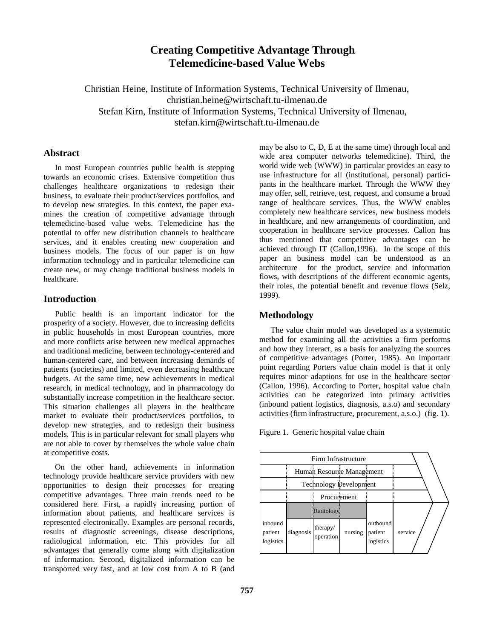## **Creating Competitive Advantage Through Telemedicine-based Value Webs**

Christian Heine, Institute of Information Systems, Technical University of Ilmenau, christian.heine@wirtschaft.tu-ilmenau.de Stefan Kirn, Institute of Information Systems, Technical University of Ilmenau, stefan.kirn@wirtschaft.tu-ilmenau.de

#### **Abstract**

In most European countries public health is stepping towards an economic crises. Extensive competition thus challenges healthcare organizations to redesign their business, to evaluate their product/services portfolios, and to develop new strategies. In this context, the paper examines the creation of competitive advantage through telemedicine-based value webs. Telemedicine has the potential to offer new distribution channels to healthcare services, and it enables creating new cooperation and business models. The focus of our paper is on how information technology and in particular telemedicine can create new, or may change traditional business models in healthcare.

## **Introduction**

Public health is an important indicator for the prosperity of a society. However, due to increasing deficits in public households in most European countries, more and more conflicts arise between new medical approaches and traditional medicine, between technology-centered and human-centered care, and between increasing demands of patients (societies) and limited, even decreasing healthcare budgets. At the same time, new achievements in medical research, in medical technology, and in pharmacology do substantially increase competition in the healthcare sector. This situation challenges all players in the healthcare market to evaluate their product/services portfolios, to develop new strategies, and to redesign their business models. This is in particular relevant for small players who are not able to cover by themselves the whole value chain at competitive costs.

On the other hand, achievements in information technology provide healthcare service providers with new opportunities to design their processes for creating competitive advantages. Three main trends need to be considered here. First, a rapidly increasing portion of information about patients, and healthcare services is represented electronically. Examples are personal records, results of diagnostic screenings, disease descriptions, radiological information, etc. This provides for all advantages that generally come along with digitalization of information. Second, digitalized information can be transported very fast, and at low cost from A to B (and

may be also to C, D, E at the same time) through local and wide area computer networks telemedicine). Third, the world wide web (WWW) in particular provides an easy to use infrastructure for all (institutional, personal) participants in the healthcare market. Through the WWW they may offer, sell, retrieve, test, request, and consume a broad range of healthcare services. Thus, the WWW enables completely new healthcare services, new business models in healthcare, and new arrangements of coordination, and cooperation in healthcare service processes. Callon has thus mentioned that competitive advantages can be achieved through IT (Callon,1996). In the scope of this paper an business model can be understood as an architecture for the product, service and information flows, with descriptions of the different economic agents, their roles, the potential benefit and revenue flows (Selz, 1999).

## **Methodology**

The value chain model was developed as a systematic method for examining all the activities a firm performs and how they interact, as a basis for analyzing the sources of competitive advantages (Porter, 1985). An important point regarding Porters value chain model is that it only requires minor adaptions for use in the healthcare sector (Callon, 1996). According to Porter, hospital value chain activities can be categorized into primary activities (inbound patient logistics, diagnosis, a.s.o) and secondary activities (firm infrastructure, procurement, a.s.o.) (fig. 1).

Figure 1. Generic hospital value chain

|                                 | Firm Infrastructure |                               |         |                                  |         |
|---------------------------------|---------------------|-------------------------------|---------|----------------------------------|---------|
|                                 |                     | Human Resource Management     |         |                                  |         |
|                                 |                     | <b>Technology Development</b> |         |                                  |         |
|                                 |                     | Procurement                   |         |                                  |         |
|                                 |                     | Radiology                     |         |                                  |         |
| inbound<br>patient<br>logistics | diagnosis           | therapy/<br>operation         | nursing | outbound<br>patient<br>logistics | service |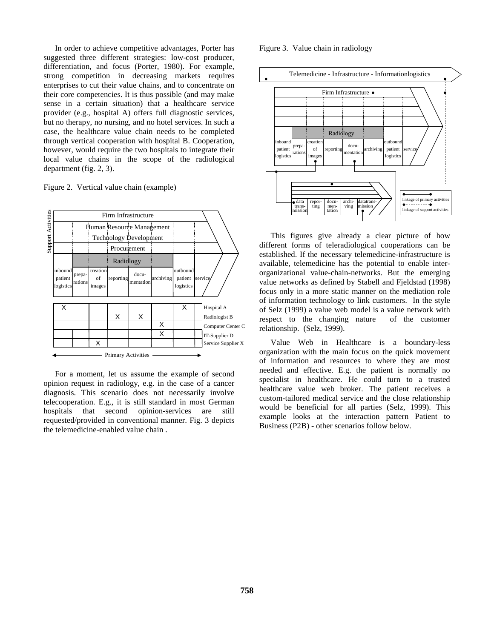In order to achieve competitive advantages, Porter has suggested three different strategies: low-cost producer, differentiation, and focus (Porter, 1980). For example, strong competition in decreasing markets requires enterprises to cut their value chains, and to concentrate on their core competencies. It is thus possible (and may make sense in a certain situation) that a healthcare service provider (e.g., hospital A) offers full diagnostic services, but no therapy, no nursing, and no hotel services. In such a case, the healthcare value chain needs to be completed through vertical cooperation with hospital B. Cooperation, however, would require the two hospitals to integrate their local value chains in the scope of the radiological department (fig. 2, 3).

Figure 2. Vertical value chain (example)



For a moment, let us assume the example of second opinion request in radiology, e.g. in the case of a cancer diagnosis. This scenario does not necessarily involve telecooperation. E.g., it is still standard in most German hospitals that second opinion-services are still requested/provided in conventional manner. Fig. 3 depicts the telemedicine-enabled value chain .

Figure 3. Value chain in radiology



This figures give already a clear picture of how different forms of teleradiological cooperations can be established. If the necessary telemedicine-infrastructure is available, telemedicine has the potential to enable interorganizational value-chain-networks. But the emerging value networks as defined by Stabell and Fjeldstad (1998) focus only in a more static manner on the mediation role of information technology to link customers. In the style of Selz (1999) a value web model is a value network with respect to the changing nature of the customer relationship. (Selz, 1999).

Value Web in Healthcare is a boundary-less organization with the main focus on the quick movement of information and resources to where they are most needed and effective. E.g. the patient is normally no specialist in healthcare. He could turn to a trusted healthcare value web broker. The patient receives a custom-tailored medical service and the close relationship would be beneficial for all parties (Selz, 1999). This example looks at the interaction pattern Patient to Business (P2B) - other scenarios follow below.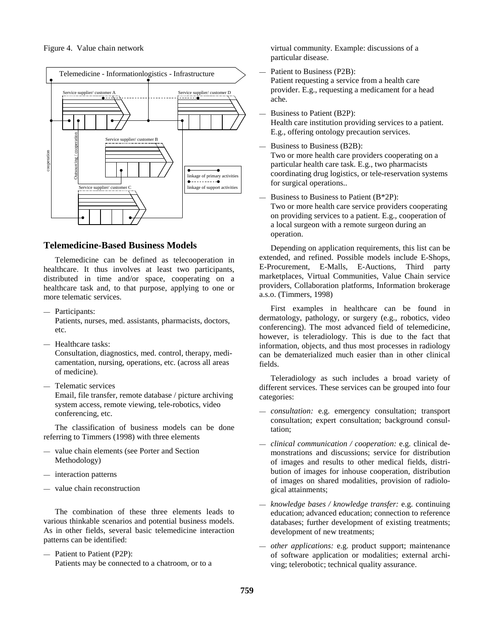

## **Telemedicine-Based Business Models**

Telemedicine can be defined as telecooperation in healthcare. It thus involves at least two participants, distributed in time and/or space, cooperating on a healthcare task and, to that purpose, applying to one or more telematic services.

— Participants:

Patients, nurses, med. assistants, pharmacists, doctors, etc.

— Healthcare tasks:

Consultation, diagnostics, med. control, therapy, medicamentation, nursing, operations, etc. (across all areas of medicine).

— Telematic services

Email, file transfer, remote database / picture archiving system access, remote viewing, tele-robotics, video conferencing, etc.

The classification of business models can be done referring to Timmers (1998) with three elements

- value chain elements (see Porter and Section Methodology)
- interaction patterns
- value chain reconstruction

The combination of these three elements leads to various thinkable scenarios and potential business models. As in other fields, several basic telemedicine interaction patterns can be identified:

— Patient to Patient (P2P): Patients may be connected to a chatroom, or to a virtual community. Example: discussions of a particular disease.

Patient to Business (P2B):

Patient requesting a service from a health care provider. E.g., requesting a medicament for a head ache.

- Business to Patient (B2P): Health care institution providing services to a patient. E.g., offering ontology precaution services.
- Business to Business (B2B):

Two or more health care providers cooperating on a particular health care task. E.g., two pharmacists coordinating drug logistics, or tele-reservation systems for surgical operations..

— Business to Business to Patient  $(B^*2P)$ : Two or more health care service providers cooperating on providing services to a patient. E.g., cooperation of a local surgeon with a remote surgeon during an operation.

Depending on application requirements, this list can be extended, and refined. Possible models include E-Shops, E-Procurement, E-Malls, E-Auctions, Third party marketplaces, Virtual Communities, Value Chain service providers, Collaboration platforms, Information brokerage a.s.o. (Timmers, 1998)

First examples in healthcare can be found in dermatology, pathology, or surgery (e.g., robotics, video conferencing). The most advanced field of telemedicine, however, is teleradiology. This is due to the fact that information, objects, and thus most processes in radiology can be dematerialized much easier than in other clinical fields.

Teleradiology as such includes a broad variety of different services. These services can be grouped into four categories:

- *consultation:* e.g. emergency consultation; transport consultation; expert consultation; background consultation;
- *clinical communication / cooperation:* e.g. clinical demonstrations and discussions; service for distribution of images and results to other medical fields, distribution of images for inhouse cooperation, distribution of images on shared modalities, provision of radiological attainments;
- *knowledge bases / knowledge transfer:* e.g. continuing education; advanced education; connection to reference databases; further development of existing treatments; development of new treatments;
- *other applications:* e.g. product support; maintenance of software application or modalities; external archiving; telerobotic; technical quality assurance.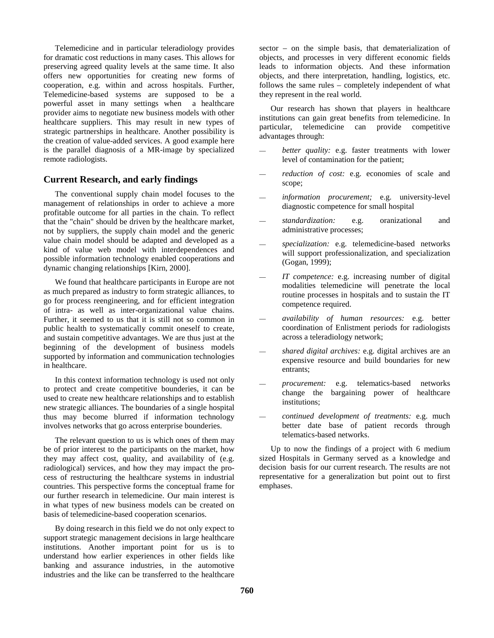Telemedicine and in particular teleradiology provides for dramatic cost reductions in many cases. This allows for preserving agreed quality levels at the same time. It also offers new opportunities for creating new forms of cooperation, e.g. within and across hospitals. Further, Telemedicine-based systems are supposed to be a powerful asset in many settings when a healthcare provider aims to negotiate new business models with other healthcare suppliers. This may result in new types of strategic partnerships in healthcare. Another possibility is the creation of value-added services. A good example here is the parallel diagnosis of a MR-image by specialized remote radiologists.

## **Current Research, and early findings**

The conventional supply chain model focuses to the management of relationships in order to achieve a more profitable outcome for all parties in the chain. To reflect that the "chain" should be driven by the healthcare market, not by suppliers, the supply chain model and the generic value chain model should be adapted and developed as a kind of value web model with interdependences and possible information technology enabled cooperations and dynamic changing relationships [Kirn, 2000].

We found that healthcare participants in Europe are not as much prepared as industry to form strategic alliances, to go for process reengineering, and for efficient integration of intra- as well as inter-organizational value chains. Further, it seemed to us that it is still not so common in public health to systematically commit oneself to create, and sustain competitive advantages. We are thus just at the beginning of the development of business models supported by information and communication technologies in healthcare.

In this context information technology is used not only to protect and create competitive bounderies, it can be used to create new healthcare relationships and to establish new strategic alliances. The boundaries of a single hospital thus may become blurred if information technology involves networks that go across enterprise bounderies.

The relevant question to us is which ones of them may be of prior interest to the participants on the market, how they may affect cost, quality, and availability of (e.g. radiological) services, and how they may impact the process of restructuring the healthcare systems in industrial countries. This perspective forms the conceptual frame for our further research in telemedicine. Our main interest is in what types of new business models can be created on basis of telemedicine-based cooperation scenarios.

By doing research in this field we do not only expect to support strategic management decisions in large healthcare institutions. Another important point for us is to understand how earlier experiences in other fields like banking and assurance industries, in the automotive industries and the like can be transferred to the healthcare sector – on the simple basis, that dematerialization of objects, and processes in very different economic fields leads to information objects. And these information objects, and there interpretation, handling, logistics, etc. follows the same rules – completely independent of what they represent in the real world.

Our research has shown that players in healthcare institutions can gain great benefits from telemedicine. In particular, telemedicine can provide competitive particular, telemedicine can provide competitive advantages through:

- better quality: e.g. faster treatments with lower level of contamination for the patient;
- reduction of cost: e.g. economies of scale and scope:
- information procurement; e.g. university-level diagnostic competence for small hospital
- *standardization:* e.g. oranizational and administrative processes;
- *specialization:* e.g. telemedicine-based networks will support professionalization, and specialization (Gogan, 1999);
- *IT competence:* e.g. increasing number of digital modalities telemedicine will penetrate the local routine processes in hospitals and to sustain the IT competence required.
- *availability of human resources:* e.g. better coordination of Enlistment periods for radiologists across a teleradiology network;
- *shared digital archives:* e.g. digital archives are an expensive resource and build boundaries for new entrants;
- *procurement:* e.g. telematics-based networks change the bargaining power of healthcare institutions;
- *continued development of treatments:* e.g. much better date base of patient records through telematics-based networks.

Up to now the findings of a project with 6 medium sized Hospitals in Germany served as a knowledge and decision basis for our current research. The results are not representative for a generalization but point out to first emphases.